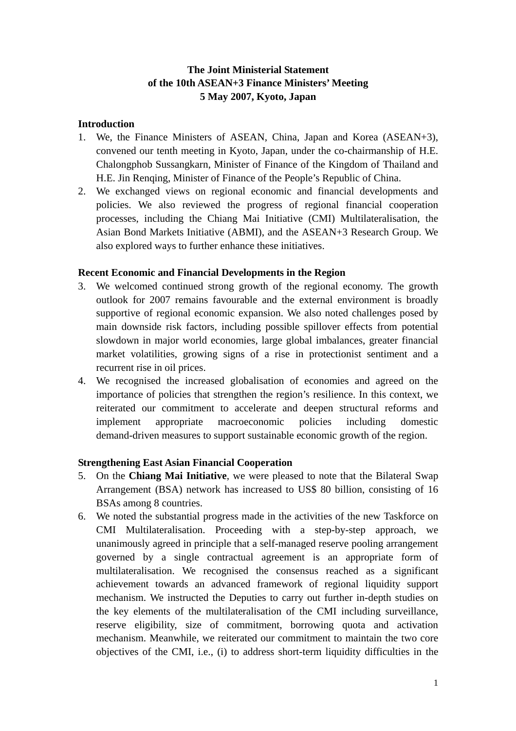# **The Joint Ministerial Statement of the 10th ASEAN+3 Finance Ministers' Meeting 5 May 2007, Kyoto, Japan**

#### **Introduction**

- 1. We, the Finance Ministers of ASEAN, China, Japan and Korea (ASEAN+3), convened our tenth meeting in Kyoto, Japan, under the co-chairmanship of H.E. Chalongphob Sussangkarn, Minister of Finance of the Kingdom of Thailand and H.E. Jin Renqing, Minister of Finance of the People's Republic of China.
- 2. We exchanged views on regional economic and financial developments and policies. We also reviewed the progress of regional financial cooperation processes, including the Chiang Mai Initiative (CMI) Multilateralisation, the Asian Bond Markets Initiative (ABMI), and the ASEAN+3 Research Group. We also explored ways to further enhance these initiatives.

## **Recent Economic and Financial Developments in the Region**

- 3. We welcomed continued strong growth of the regional economy. The growth outlook for 2007 remains favourable and the external environment is broadly supportive of regional economic expansion. We also noted challenges posed by main downside risk factors, including possible spillover effects from potential slowdown in major world economies, large global imbalances, greater financial market volatilities, growing signs of a rise in protectionist sentiment and a recurrent rise in oil prices.
- 4. We recognised the increased globalisation of economies and agreed on the importance of policies that strengthen the region's resilience. In this context, we reiterated our commitment to accelerate and deepen structural reforms and implement appropriate macroeconomic policies including domestic demand-driven measures to support sustainable economic growth of the region.

## **Strengthening East Asian Financial Cooperation**

- 5. On the **Chiang Mai Initiative**, we were pleased to note that the Bilateral Swap Arrangement (BSA) network has increased to US\$ 80 billion, consisting of 16 BSAs among 8 countries.
- 6. We noted the substantial progress made in the activities of the new Taskforce on CMI Multilateralisation. Proceeding with a step-by-step approach, we unanimously agreed in principle that a self-managed reserve pooling arrangement governed by a single contractual agreement is an appropriate form of multilateralisation. We recognised the consensus reached as a significant achievement towards an advanced framework of regional liquidity support mechanism. We instructed the Deputies to carry out further in-depth studies on the key elements of the multilateralisation of the CMI including surveillance, reserve eligibility, size of commitment, borrowing quota and activation mechanism. Meanwhile, we reiterated our commitment to maintain the two core objectives of the CMI, i.e., (i) to address short-term liquidity difficulties in the